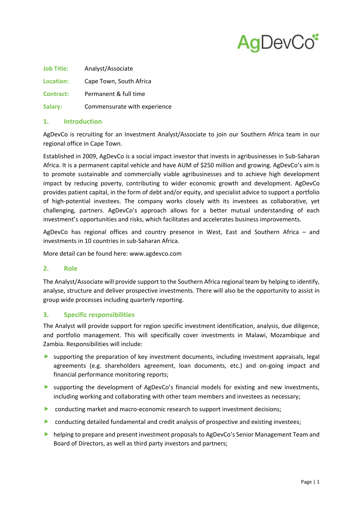

| <b>Job Title:</b> | Analyst/Associate            |
|-------------------|------------------------------|
| Location:         | Cape Town, South Africa      |
| Contract:         | Permanent & full time        |
| Salary:           | Commensurate with experience |

# **1. Introduction**

AgDevCo is recruiting for an Investment Analyst/Associate to join our Southern Africa team in our regional office in Cape Town.

Established in 2009, AgDevCo is a social impact investor that invests in agribusinesses in Sub-Saharan Africa. It is a permanent capital vehicle and have AUM of \$250 million and growing. AgDevCo's aim is to promote sustainable and commercially viable agribusinesses and to achieve high development impact by reducing poverty, contributing to wider economic growth and development. AgDevCo provides patient capital, in the form of debt and/or equity, and specialist advice to support a portfolio of high-potential investees. The company works closely with its investees as collaborative, yet challenging, partners. AgDevCo's approach allows for a better mutual understanding of each investment's opportunities and risks, which facilitates and accelerates business improvements.

AgDevCo has regional offices and country presence in West, East and Southern Africa – and investments in 10 countries in sub-Saharan Africa.

More detail can be found here: www.agdevco.com

### **2. Role**

The Analyst/Associate will provide support to the Southern Africa regional team by helping to identify, analyse, structure and deliver prospective investments. There will also be the opportunity to assist in group wide processes including quarterly reporting.

# **3. Specific responsibilities**

The Analyst will provide support for region specific investment identification, analysis, due diligence, and portfolio management. This will specifically cover investments in Malawi, Mozambique and Zambia. Responsibilities will include:

- supporting the preparation of key investment documents, including investment appraisals, legal agreements (e.g. shareholders agreement, loan documents, etc.) and on-going impact and financial performance monitoring reports;
- supporting the development of AgDevCo's financial models for existing and new investments, including working and collaborating with other team members and investees as necessary;
- **D** conducting market and macro-economic research to support investment decisions;
- **D** conducting detailed fundamental and credit analysis of prospective and existing investees;
- **helping to prepare and present investment proposals to AgDevCo's Senior Management Team and** Board of Directors, as well as third party investors and partners;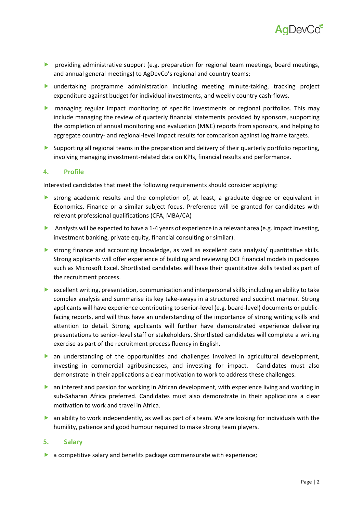

- **P** providing administrative support (e.g. preparation for regional team meetings, board meetings, and annual general meetings) to AgDevCo's regional and country teams;
- undertaking programme administration including meeting minute-taking, tracking project expenditure against budget for individual investments, and weekly country cash-flows.
- managing regular impact monitoring of specific investments or regional portfolios. This may include managing the review of quarterly financial statements provided by sponsors, supporting the completion of annual monitoring and evaluation (M&E) reports from sponsors, and helping to aggregate country- and regional-level impact results for comparison against log frame targets.
- Supporting all regional teams in the preparation and delivery of their quarterly portfolio reporting, involving managing investment-related data on KPIs, financial results and performance.

### **4. Profile**

Interested candidates that meet the following requirements should consider applying:

- strong academic results and the completion of, at least, a graduate degree or equivalent in Economics, Finance or a similar subject focus. Preference will be granted for candidates with relevant professional qualifications (CFA, MBA/CA)
- Analysts will be expected to have a 1-4 years of experience in a relevant area (e.g. impact investing, investment banking, private equity, financial consulting or similar).
- strong finance and accounting knowledge, as well as excellent data analysis/ quantitative skills. Strong applicants will offer experience of building and reviewing DCF financial models in packages such as Microsoft Excel. Shortlisted candidates will have their quantitative skills tested as part of the recruitment process.
- excellent writing, presentation, communication and interpersonal skills; including an ability to take complex analysis and summarise its key take-aways in a structured and succinct manner. Strong applicants will have experience contributing to senior-level (e.g. board-level) documents or publicfacing reports, and will thus have an understanding of the importance of strong writing skills and attention to detail. Strong applicants will further have demonstrated experience delivering presentations to senior-level staff or stakeholders. Shortlisted candidates will complete a writing exercise as part of the recruitment process fluency in English.
- an understanding of the opportunities and challenges involved in agricultural development, investing in commercial agribusinesses, and investing for impact. Candidates must also demonstrate in their applications a clear motivation to work to address these challenges.
- **•** an interest and passion for working in African development, with experience living and working in sub-Saharan Africa preferred. Candidates must also demonstrate in their applications a clear motivation to work and travel in Africa.
- **•** an ability to work independently, as well as part of a team. We are looking for individuals with the humility, patience and good humour required to make strong team players.

#### **5. Salary**

a competitive salary and benefits package commensurate with experience;